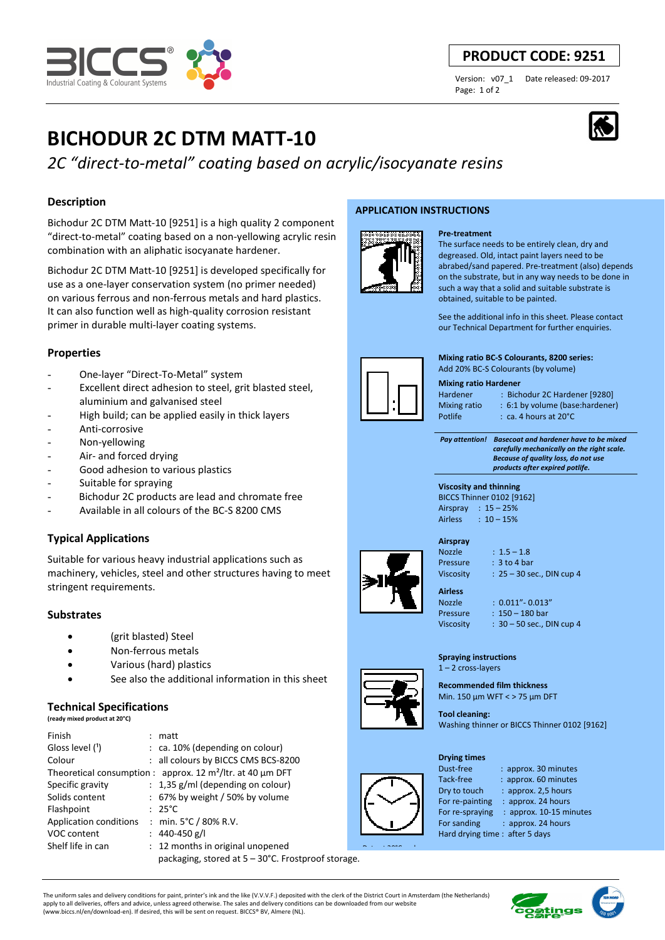# stringent requirements.

### **Substrates**

- (grit blasted) Steel
- Non-ferrous metals
- Various (hard) plastics
- See also the additional information in this sheet

### **Technical Specifications**

| (ready mixed product at 20°C) |  |  |  |
|-------------------------------|--|--|--|
|-------------------------------|--|--|--|

| Finish                        | matt                                                          |  |
|-------------------------------|---------------------------------------------------------------|--|
| Gloss level (1)               | $:$ ca. 10% (depending on colour)                             |  |
| Colour                        | : all colours by BICCS CMS BCS-8200                           |  |
|                               | Theoretical consumption : approx. 12 $m^2$ /ltr. at 40 µm DFT |  |
| Specific gravity              | : 1,35 g/ml (depending on colour)                             |  |
| Solids content                | $: 67\%$ by weight / 50% by volume                            |  |
| Flashpoint                    | $: 25^{\circ}$ C                                              |  |
| <b>Application conditions</b> | : min. $5^{\circ}$ C / 80% R.V.                               |  |
| VOC content                   | : $440-450$ g/l                                               |  |
| Shelf life in can             | : 12 months in original unopened                              |  |
|                               | packaging, stored at 5 - 30°C. Frostproof storage.            |  |

**APPLICATION INSTRUCTIONS** 



### **Pre-treatment**

The surface needs to be entirely clean, dry and degreased. Old, intact paint layers need to be abrabed/sand papered. Pre-treatment (also) depends on the substrate, but in any way needs to be done in such a way that a solid and suitable substrate is obtained, suitable to be painted.

See the additional info in this sheet. Please contact our Technical Department for further enquiries.

**Mixing ratio BC-S Colourants, 8200 series:**  Add 20% BC-S Colourants (by volume)

#### **Mixing ratio Hardener**

Hardener : Bichodur 2C Hardener [9280] Mixing ratio : 6:1 by volume (base:hardener) Potlife : ca. 4 hours at 20°C

 *Pay attention! Basecoat and hardener have to be mixed carefully mechanically on the right scale. Because of quality loss, do not use products after expired potlife.*

#### **Viscosity and thinning**  BICCS Thinner 0102 [9162] Airspray : 15 – 25% Airless : 10 – 15%

**Airspray** 

Nozzle : 1.5 – 1.8 Pressure : 3 to 4 bar Viscosity : 25 – 30 sec., DIN cup 4

Nozzle : 0.011"- 0.013" Pressure : 150 – 180 bar Viscosity : 30 – 50 sec., DIN cup 4

### **Spraying instructions**  1 – 2 cross-layers

**Recommended film thickness**  Min. 150 µm WFT < > 75 µm DFT

**Tool cleaning:**  Washing thinner or BICCS Thinner 0102 [9162]

### **Drying times**

Dust-free : approx. 30 minutes Tack-free : approx. 60 minutes Dry to touch : approx. 2,5 hours For re-painting : approx. 24 hours For re-spraying : approx. 10-15 minutes For sanding : approx. 24 hours Hard drying time : after 5 days

The uniform sales and delivery conditions for paint, printer's ink and the like (V.V.V.F.) deposited with the clerk of the District Court in Amsterdam (the Netherlands) apply to all deliveries, offers and advice, unless agreed otherwise. The sales and delivery conditions can be downloaded from our website (www.biccs.nl/en/download-en). If desired, this will be sent on request. BICCS® BV, Almere (NL).

## **PRODUCT CODE: 9251**

Page: 1 of 2

Version: v07\_1 Date released: 09-2017





**Description** 

**Properties** 

**BICHODUR 2C DTM MATT-10**

Bichodur 2C DTM Matt-10 [9251] is a high quality 2 component "direct-to-metal" coating based on a non-yellowing acrylic resin

Bichodur 2C DTM Matt-10 [9251] is developed specifically for use as a one-layer conservation system (no primer needed) on various ferrous and non-ferrous metals and hard plastics. It can also function well as high-quality corrosion resistant

Excellent direct adhesion to steel, grit blasted steel,

High build; can be applied easily in thick layers

Bichodur 2C products are lead and chromate free - Available in all colours of the BC-S 8200 CMS

Suitable for various heavy industrial applications such as machinery, vehicles, steel and other structures having to meet

combination with an aliphatic isocyanate hardener.

primer in durable multi-layer coating systems.

- One-layer "Direct-To-Metal" system

aluminium and galvanised steel

Good adhesion to various plastics

Anti-corrosive Non-yellowing Air- and forced drying

**Typical Applications**

Suitable for spraying

*2C "direct-to-metal" coating based on acrylic/isocyanate resins*